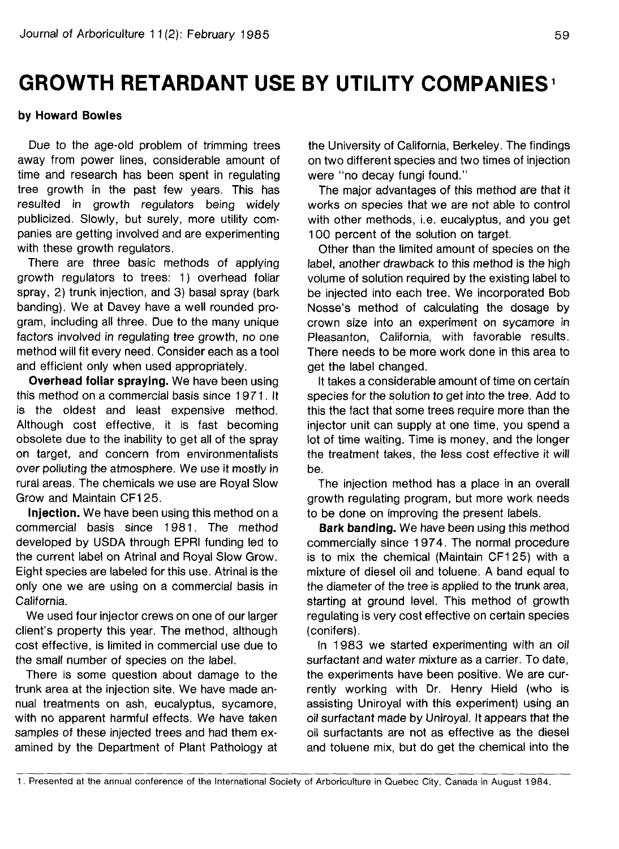## **GROWTH RETARDANT USE BY UTILITY COMPANIES**

## **by Howard Bowles**

Due to the age-old problem of trimming trees away from power lines, considerable amount of time and research has been spent in regulating tree growth in the past few years. This has resulted in growth regulators being widely publicized. Slowly, but surely, more utility companies are getting involved and are experimenting with these growth regulators.

There are three basic methods of applying growth regulators to trees: 1) overhead foliar spray, 2) trunk injection, and 3) basal spray (bark banding). We at Davey have a well rounded program, including all three. Due to the many unique factors involved in regulating tree growth, no one method will fit every need. Consider each as a tool and efficient only when used appropriately.

**Overhead foliar spraying.** We have been using this method on a commercial basis since 1971. It is the oldest and least expensive method. Although cost effective, it is fast becoming obsolete due to the inability to get all of the spray on target, and concern from environmentalists over polluting the atmosphere. We use it mostly in rural areas. The chemicals we use are Royal Slow Grow and Maintain CF125.

**Injection.** We have been using this method on a commercial basis since 1981. The method developed by USDA through EPRI funding led to the current label on Atrinal and Royal Slow Grow. Eight species are labeled for this use. Atrinal is the only one we are using on a commercial basis in California.

We used four injector crews on one of our larger client's property this year. The method, although cost effective, is limited in commercial use due to the small number of species on the label.

There is some question about damage to the trunk area at the injection site. We have made annual treatments on ash, eucalyptus, sycamore, with no apparent harmful effects. We have taken samples of these injected trees and had them examined by the Department of Plant Pathology at

the University of California, Berkeley. The findings on two different species and two times of injection were "no decay fungi found."

The major advantages of this method are that it works on species that we are not able to control with other methods, i.e. eucalyptus, and you get 100 percent of the solution on target.

Other than the limited amount of species on the label, another drawback to this method is the high volume of solution required by the existing label to be injected into each tree. We incorporated Bob Nosse's method of calculating the dosage by crown size into an experiment on sycamore in Pleasanton, California, with favorable results. There needs to be more work done in this area to get the label changed.

It takes a considerable amount of time on certain species for the solution to get into the tree. Add to this the fact that some trees require more than the injector unit can supply at one time, you spend a lot of time waiting. Time is money, and the longer the treatment takes, the less cost effective it will be.

The injection method has a place in an overall growth regulating program, but more work needs to be done on improving the present labels.

**Bark banding.** We have been using this method commercially since 1974. The normal procedure is to mix the chemical (Maintain CF1 25) with a mixture of diesel oil and toluene. A band equal to the diameter of the tree is applied to the trunk area, starting at ground level. This method of growth regulating is very cost effective on certain species (conifers).

In 1983 we started experimenting with an oil surfactant and water mixture as a carrier. To date, the experiments have been positive. We are currently working with Dr. Henry Hield (who is assisting Uniroyal with this experiment) using an oil surfactant made by Uniroyal. It appears that the oil surfactants are not as effective as the diesel and toluene mix, but do get the chemical into the

<sup>1.</sup> Presented at the annual conference of the International Society of Arboriculture in Quebec City, Canada in August 1984.